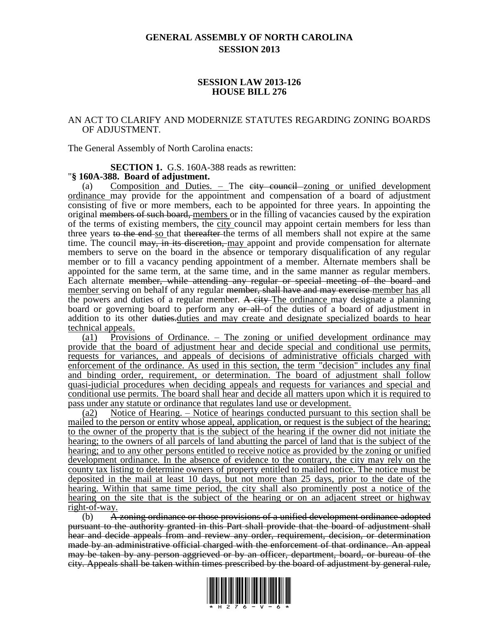# **GENERAL ASSEMBLY OF NORTH CAROLINA SESSION 2013**

### **SESSION LAW 2013-126 HOUSE BILL 276**

### AN ACT TO CLARIFY AND MODERNIZE STATUTES REGARDING ZONING BOARDS OF ADJUSTMENT.

The General Assembly of North Carolina enacts:

**SECTION 1.** G.S. 160A-388 reads as rewritten:

#### "**§ 160A-388. Board of adjustment.**

(a) Composition and Duties.  $-$  The city council zoning or unified development ordinance may provide for the appointment and compensation of a board of adjustment consisting of five or more members, each to be appointed for three years. In appointing the original members of such board, members or in the filling of vacancies caused by the expiration of the terms of existing members, the city council may appoint certain members for less than three years to the end so that thereafter the terms of all members shall not expire at the same time. The council may, in its discretion, may appoint and provide compensation for alternate members to serve on the board in the absence or temporary disqualification of any regular member or to fill a vacancy pending appointment of a member. Alternate members shall be appointed for the same term, at the same time, and in the same manner as regular members. Each alternate member, while attending any regular or special meeting of the board and member serving on behalf of any regular <del>member, shall have and may exercise</del> member has all the powers and duties of a regular member. A city The ordinance may designate a planning board or governing board to perform any or all of the duties of a board of adjustment in addition to its other duties. duties and may create and designate specialized boards to hear technical appeals.

(a1) Provisions of Ordinance. – The zoning or unified development ordinance may provide that the board of adjustment hear and decide special and conditional use permits, requests for variances, and appeals of decisions of administrative officials charged with enforcement of the ordinance. As used in this section, the term "decision" includes any final and binding order, requirement, or determination. The board of adjustment shall follow quasi-judicial procedures when deciding appeals and requests for variances and special and conditional use permits. The board shall hear and decide all matters upon which it is required to pass under any statute or ordinance that regulates land use or development.

(a2) Notice of Hearing. – Notice of hearings conducted pursuant to this section shall be mailed to the person or entity whose appeal, application, or request is the subject of the hearing; to the owner of the property that is the subject of the hearing if the owner did not initiate the hearing; to the owners of all parcels of land abutting the parcel of land that is the subject of the hearing; and to any other persons entitled to receive notice as provided by the zoning or unified development ordinance. In the absence of evidence to the contrary, the city may rely on the county tax listing to determine owners of property entitled to mailed notice. The notice must be deposited in the mail at least 10 days, but not more than 25 days, prior to the date of the hearing. Within that same time period, the city shall also prominently post a notice of the hearing on the site that is the subject of the hearing or on an adjacent street or highway right-of-way.

(b) A zoning ordinance or those provisions of a unified development ordinance adopted pursuant to the authority granted in this Part shall provide that the board of adjustment shall hear and decide appeals from and review any order, requirement, decision, or determination made by an administrative official charged with the enforcement of that ordinance. An appeal may be taken by any person aggrieved or by an officer, department, board, or bureau of the city. Appeals shall be taken within times prescribed by the board of adjustment by general rule,

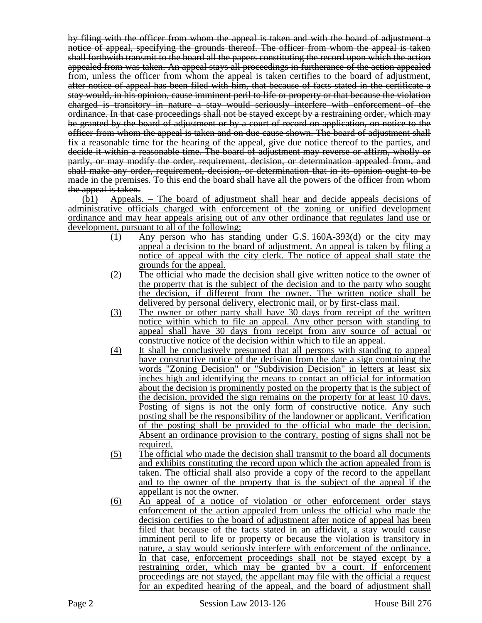by filing with the officer from whom the appeal is taken and with the board of adjustment a notice of appeal, specifying the grounds thereof. The officer from whom the appeal is taken shall forthwith transmit to the board all the papers constituting the record upon which the action appealed from was taken. An appeal stays all proceedings in furtherance of the action appealed from, unless the officer from whom the appeal is taken certifies to the board of adjustment, after notice of appeal has been filed with him, that because of facts stated in the certificate a stay would, in his opinion, cause imminent peril to life or property or that because the violation charged is transitory in nature a stay would seriously interfere with enforcement of the ordinance. In that case proceedings shall not be stayed except by a restraining order, which may be granted by the board of adjustment or by a court of record on application, on notice to the officer from whom the appeal is taken and on due cause shown. The board of adjustment shall fix a reasonable time for the hearing of the appeal, give due notice thereof to the parties, and decide it within a reasonable time. The board of adjustment may reverse or affirm, wholly or partly, or may modify the order, requirement, decision, or determination appealed from, and shall make any order, requirement, decision, or determination that in its opinion ought to be made in the premises. To this end the board shall have all the powers of the officer from whom the appeal is taken.

(b1) Appeals. – The board of adjustment shall hear and decide appeals decisions of administrative officials charged with enforcement of the zoning or unified development ordinance and may hear appeals arising out of any other ordinance that regulates land use or development, pursuant to all of the following:

- (1) Any person who has standing under G.S. 160A-393(d) or the city may appeal a decision to the board of adjustment. An appeal is taken by filing a notice of appeal with the city clerk. The notice of appeal shall state the grounds for the appeal.
- (2) The official who made the decision shall give written notice to the owner of the property that is the subject of the decision and to the party who sought the decision, if different from the owner. The written notice shall be delivered by personal delivery, electronic mail, or by first-class mail.
- (3) The owner or other party shall have 30 days from receipt of the written notice within which to file an appeal. Any other person with standing to appeal shall have 30 days from receipt from any source of actual or constructive notice of the decision within which to file an appeal.
- (4) It shall be conclusively presumed that all persons with standing to appeal have constructive notice of the decision from the date a sign containing the words "Zoning Decision" or "Subdivision Decision" in letters at least six inches high and identifying the means to contact an official for information about the decision is prominently posted on the property that is the subject of the decision, provided the sign remains on the property for at least 10 days. Posting of signs is not the only form of constructive notice. Any such posting shall be the responsibility of the landowner or applicant. Verification of the posting shall be provided to the official who made the decision. Absent an ordinance provision to the contrary, posting of signs shall not be required.
- (5) The official who made the decision shall transmit to the board all documents and exhibits constituting the record upon which the action appealed from is taken. The official shall also provide a copy of the record to the appellant and to the owner of the property that is the subject of the appeal if the appellant is not the owner.
- (6) An appeal of a notice of violation or other enforcement order stays enforcement of the action appealed from unless the official who made the decision certifies to the board of adjustment after notice of appeal has been filed that because of the facts stated in an affidavit, a stay would cause imminent peril to life or property or because the violation is transitory in nature, a stay would seriously interfere with enforcement of the ordinance. In that case, enforcement proceedings shall not be stayed except by a restraining order, which may be granted by a court. If enforcement proceedings are not stayed, the appellant may file with the official a request for an expedited hearing of the appeal, and the board of adjustment shall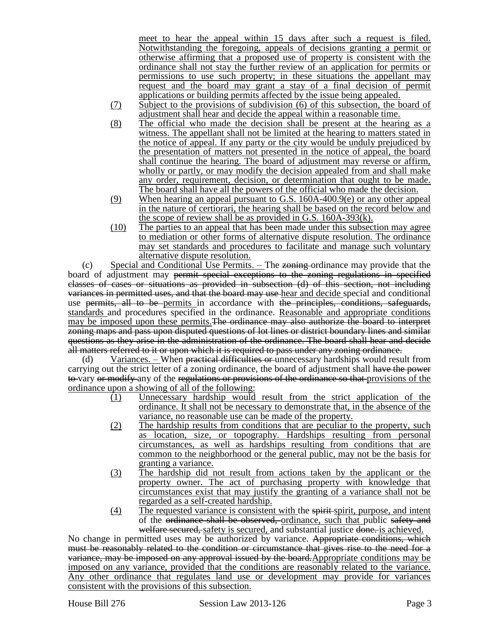meet to hear the appeal within 15 days after such a request is filed. Notwithstanding the foregoing, appeals of decisions granting a permit or otherwise affirming that a proposed use of property is consistent with the ordinance shall not stay the further review of an application for permits or permissions to use such property; in these situations the appellant may request and the board may grant a stay of a final decision of permit applications or building permits affected by the issue being appealed.

- (7) Subject to the provisions of subdivision (6) of this subsection, the board of adjustment shall hear and decide the appeal within a reasonable time.
- (8) The official who made the decision shall be present at the hearing as a witness. The appellant shall not be limited at the hearing to matters stated in the notice of appeal. If any party or the city would be unduly prejudiced by the presentation of matters not presented in the notice of appeal, the board shall continue the hearing. The board of adjustment may reverse or affirm, wholly or partly, or may modify the decision appealed from and shall make any order, requirement, decision, or determination that ought to be made. The board shall have all the powers of the official who made the decision.
- (9) When hearing an appeal pursuant to G.S. 160A-400.9(e) or any other appeal in the nature of certiorari, the hearing shall be based on the record below and the scope of review shall be as provided in G.S. 160A-393(k).
- (10) The parties to an appeal that has been made under this subsection may agree to mediation or other forms of alternative dispute resolution. The ordinance may set standards and procedures to facilitate and manage such voluntary alternative dispute resolution.

(c) Special and Conditional Use Permits. – The zoning ordinance may provide that the board of adjustment may permit special exceptions to the zoning regulations in specified classes of cases or situations as provided in subsection (d) of this section, not including variances in permitted uses, and that the board may use hear and decide special and conditional use permits, all to be permits in accordance with the principles, conditions, safeguards, standards and procedures specified in the ordinance. Reasonable and appropriate conditions may be imposed upon these permits. The ordinance may also authorize the board to interpret zoning maps and pass upon disputed questions of lot lines or district boundary lines and similar questions as they arise in the administration of the ordinance. The board shall hear and decide all matters referred to it or upon which it is required to pass under any zoning ordinance.

(d) Variances. – When practical difficulties or unnecessary hardships would result from carrying out the strict letter of a zoning ordinance, the board of adjustment shall have the power to vary or modify any of the regulations or provisions of the ordinance so that provisions of the ordinance upon a showing of all of the following:

- (1) Unnecessary hardship would result from the strict application of the ordinance. It shall not be necessary to demonstrate that, in the absence of the variance, no reasonable use can be made of the property.
- (2) The hardship results from conditions that are peculiar to the property, such as location, size, or topography. Hardships resulting from personal circumstances, as well as hardships resulting from conditions that are common to the neighborhood or the general public, may not be the basis for granting a variance.
- (3) The hardship did not result from actions taken by the applicant or the property owner. The act of purchasing property with knowledge that circumstances exist that may justify the granting of a variance shall not be regarded as a self-created hardship.
- (4) The requested variance is consistent with the spirit spirit, purpose, and intent of the ordinance shall be observed, ordinance, such that public safety and welfare secured, safety is secured, and substantial justice done. is achieved.

No change in permitted uses may be authorized by variance. Appropriate conditions, which must be reasonably related to the condition or circumstance that gives rise to the need for a variance, may be imposed on any approval issued by the board.Appropriate conditions may be imposed on any variance, provided that the conditions are reasonably related to the variance. Any other ordinance that regulates land use or development may provide for variances consistent with the provisions of this subsection.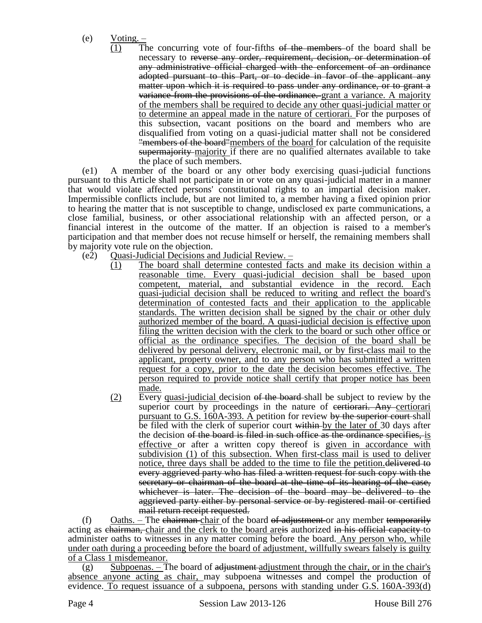- (e) Voting.
	- (1) The concurring vote of four-fifths of the members of the board shall be necessary to reverse any order, requirement, decision, or determination of any administrative official charged with the enforcement of an ordinance adopted pursuant to this Part, or to decide in favor of the applicant any matter upon which it is required to pass under any ordinance, or to grant a variance from the provisions of the ordinance. grant a variance. A majority of the members shall be required to decide any other quasi-judicial matter or to determine an appeal made in the nature of certiorari. For the purposes of this subsection, vacant positions on the board and members who are disqualified from voting on a quasi-judicial matter shall not be considered **"members of the board"** members of the board for calculation of the requisite supermajority majority if there are no qualified alternates available to take the place of such members.

(e1) A member of the board or any other body exercising quasi-judicial functions pursuant to this Article shall not participate in or vote on any quasi-judicial matter in a manner that would violate affected persons' constitutional rights to an impartial decision maker. Impermissible conflicts include, but are not limited to, a member having a fixed opinion prior to hearing the matter that is not susceptible to change, undisclosed ex parte communications, a close familial, business, or other associational relationship with an affected person, or a financial interest in the outcome of the matter. If an objection is raised to a member's participation and that member does not recuse himself or herself, the remaining members shall by majority vote rule on the objection.

- (e2) Quasi-Judicial Decisions and Judicial Review.
	- (1) The board shall determine contested facts and make its decision within a reasonable time. Every quasi-judicial decision shall be based upon competent, material, and substantial evidence in the record. Each quasi-judicial decision shall be reduced to writing and reflect the board's determination of contested facts and their application to the applicable standards. The written decision shall be signed by the chair or other duly authorized member of the board. A quasi-judicial decision is effective upon filing the written decision with the clerk to the board or such other office or official as the ordinance specifies. The decision of the board shall be delivered by personal delivery, electronic mail, or by first-class mail to the applicant, property owner, and to any person who has submitted a written request for a copy, prior to the date the decision becomes effective. The person required to provide notice shall certify that proper notice has been made.
	- (2) Every quasi-judicial decision  $\theta$  the board-shall be subject to review by the superior court by proceedings in the nature of existencial Any certiorari pursuant to G.S. 160A-393. A petition for review by the superior court shall be filed with the clerk of superior court within by the later of 30 days after the decision of the board is filed in such office as the ordinance specifies, is effective or after a written copy thereof is given in accordance with subdivision (1) of this subsection. When first-class mail is used to deliver notice, three days shall be added to the time to file the petition. delivered to every aggrieved party who has filed a written request for such copy with the secretary or chairman of the board at the time of its hearing of the case, whichever is later. The decision of the board may be delivered to the aggrieved party either by personal service or by registered mail or certified mail return receipt requested.

(f) Oaths. – The chairman chair of the board of adjustment or any member temporarily acting as chairman, chair and the clerk to the board areas authorized in his official capacity to administer oaths to witnesses in any matter coming before the board. Any person who, while under oath during a proceeding before the board of adjustment, willfully swears falsely is guilty of a Class 1 misdemeanor.

 $(g)$  Subpoenas. – The board of adjustment adjustment through the chair, or in the chair's absence anyone acting as chair, may subpoena witnesses and compel the production of evidence. To request issuance of a subpoena, persons with standing under G.S.  $160A-393(d)$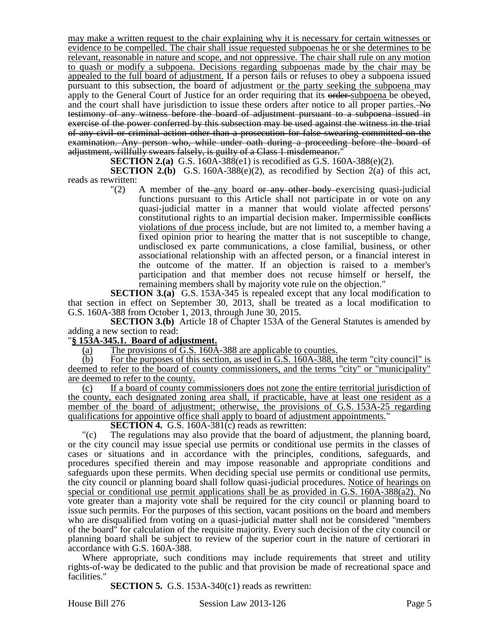may make a written request to the chair explaining why it is necessary for certain witnesses or evidence to be compelled. The chair shall issue requested subpoenas he or she determines to be relevant, reasonable in nature and scope, and not oppressive. The chair shall rule on any motion to quash or modify a subpoena. Decisions regarding subpoenas made by the chair may be appealed to the full board of adjustment. If a person fails or refuses to obey a subpoena issued pursuant to this subsection, the board of adjustment or the party seeking the subpoena may apply to the General Court of Justice for an order requiring that its order-subpoena be obeyed, and the court shall have jurisdiction to issue these orders after notice to all proper parties. No testimony of any witness before the board of adjustment pursuant to a subpoena issued in exercise of the power conferred by this subsection may be used against the witness in the trial of any civil or criminal action other than a prosecution for false swearing committed on the examination. Any person who, while under oath during a proceeding before the board of adjustment, willfully swears falsely, is guilty of a Class 1 misdemeanor."

**SECTION 2.(a)** G.S. 160A-388(e1) is recodified as G.S. 160A-388(e)(2).

**SECTION 2.(b)** G.S. 160A-388 $(e)(2)$ , as recodified by Section 2(a) of this act, reads as rewritten:

 $\Gamma(2)$  A member of the any board or any other body exercising quasi-judicial functions pursuant to this Article shall not participate in or vote on any quasi-judicial matter in a manner that would violate affected persons' constitutional rights to an impartial decision maker. Impermissible conflicts violations of due process include, but are not limited to, a member having a fixed opinion prior to hearing the matter that is not susceptible to change, undisclosed ex parte communications, a close familial, business, or other associational relationship with an affected person, or a financial interest in the outcome of the matter. If an objection is raised to a member's participation and that member does not recuse himself or herself, the remaining members shall by majority vote rule on the objection."

**SECTION 3.(a)** G.S. 153A-345 is repealed except that any local modification to that section in effect on September 30, 2013, shall be treated as a local modification to G.S. 160A-388 from October 1, 2013, through June 30, 2015.

**SECTION 3.(b)** Article 18 of Chapter 153A of the General Statutes is amended by adding a new section to read:

## "**§ 153A-345.1. Board of adjustment.**

(a) The provisions of G.S. 160A-388 are applicable to counties.

(b) For the purposes of this section, as used in G.S. 160A-388, the term "city council" is deemed to refer to the board of county commissioners, and the terms "city" or "municipality" are deemed to refer to the county.

(c) If a board of county commissioners does not zone the entire territorial jurisdiction of the county, each designated zoning area shall, if practicable, have at least one resident as a member of the board of adjustment; otherwise, the provisions of G.S. 153A-25 regarding qualifications for appointive office shall apply to board of adjustment appointments."

#### **SECTION 4.** G.S. 160A-381(c) reads as rewritten:

"(c) The regulations may also provide that the board of adjustment, the planning board, or the city council may issue special use permits or conditional use permits in the classes of cases or situations and in accordance with the principles, conditions, safeguards, and procedures specified therein and may impose reasonable and appropriate conditions and safeguards upon these permits. When deciding special use permits or conditional use permits, the city council or planning board shall follow quasi-judicial procedures. Notice of hearings on special or conditional use permit applications shall be as provided in G.S. 160A-388(a2). No vote greater than a majority vote shall be required for the city council or planning board to issue such permits. For the purposes of this section, vacant positions on the board and members who are disqualified from voting on a quasi-judicial matter shall not be considered "members of the board" for calculation of the requisite majority. Every such decision of the city council or planning board shall be subject to review of the superior court in the nature of certiorari in accordance with G.S. 160A-388.

Where appropriate, such conditions may include requirements that street and utility rights-of-way be dedicated to the public and that provision be made of recreational space and facilities."

**SECTION 5.** G.S. 153A-340(c1) reads as rewritten:

House Bill 276 Session Law 2013-126 Page 5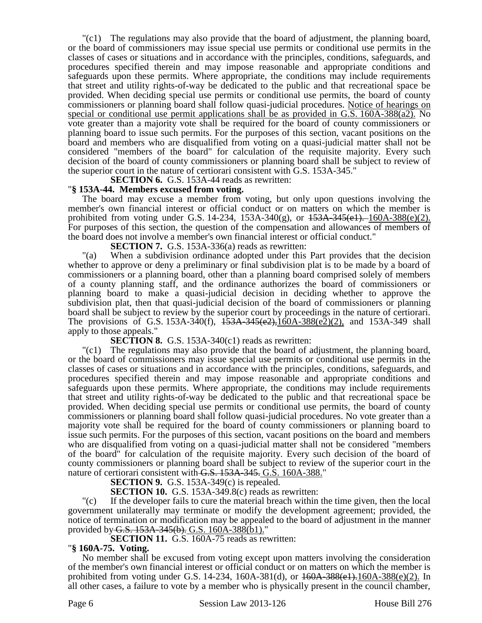"(c1) The regulations may also provide that the board of adjustment, the planning board, or the board of commissioners may issue special use permits or conditional use permits in the classes of cases or situations and in accordance with the principles, conditions, safeguards, and procedures specified therein and may impose reasonable and appropriate conditions and safeguards upon these permits. Where appropriate, the conditions may include requirements that street and utility rights-of-way be dedicated to the public and that recreational space be provided. When deciding special use permits or conditional use permits, the board of county commissioners or planning board shall follow quasi-judicial procedures. Notice of hearings on special or conditional use permit applications shall be as provided in G.S. 160A-388(a2). No vote greater than a majority vote shall be required for the board of county commissioners or planning board to issue such permits. For the purposes of this section, vacant positions on the board and members who are disqualified from voting on a quasi-judicial matter shall not be considered "members of the board" for calculation of the requisite majority. Every such decision of the board of county commissioners or planning board shall be subject to review of the superior court in the nature of certiorari consistent with G.S. 153A-345."

**SECTION 6.** G.S. 153A-44 reads as rewritten:

# "**§ 153A-44. Members excused from voting.**

The board may excuse a member from voting, but only upon questions involving the member's own financial interest or official conduct or on matters on which the member is prohibited from voting under G.S. 14-234, 153A-340(g), or  $153A-345(e1)$ . 160A-388(e)(2). For purposes of this section, the question of the compensation and allowances of members of the board does not involve a member's own financial interest or official conduct."

**SECTION 7.** G.S. 153A-336(a) reads as rewritten:

"(a) When a subdivision ordinance adopted under this Part provides that the decision whether to approve or deny a preliminary or final subdivision plat is to be made by a board of commissioners or a planning board, other than a planning board comprised solely of members of a county planning staff, and the ordinance authorizes the board of commissioners or planning board to make a quasi-judicial decision in deciding whether to approve the subdivision plat, then that quasi-judicial decision of the board of commissioners or planning board shall be subject to review by the superior court by proceedings in the nature of certiorari. The provisions of G.S. 153A-340(f), 153A-345(e2),160A-388(e2)(2), and 153A-349 shall apply to those appeals."

**SECTION 8.** G.S. 153A-340(c1) reads as rewritten:

"(c1) The regulations may also provide that the board of adjustment, the planning board, or the board of commissioners may issue special use permits or conditional use permits in the classes of cases or situations and in accordance with the principles, conditions, safeguards, and procedures specified therein and may impose reasonable and appropriate conditions and safeguards upon these permits. Where appropriate, the conditions may include requirements that street and utility rights-of-way be dedicated to the public and that recreational space be provided. When deciding special use permits or conditional use permits, the board of county commissioners or planning board shall follow quasi-judicial procedures. No vote greater than a majority vote shall be required for the board of county commissioners or planning board to issue such permits. For the purposes of this section, vacant positions on the board and members who are disqualified from voting on a quasi-judicial matter shall not be considered "members of the board" for calculation of the requisite majority. Every such decision of the board of county commissioners or planning board shall be subject to review of the superior court in the nature of certiorari consistent with G.S. 153A-345. G.S. 160A-388."

**SECTION 9.** G.S. 153A-349(c) is repealed.

**SECTION 10.** G.S. 153A-349.8(c) reads as rewritten:

"(c) If the developer fails to cure the material breach within the time given, then the local government unilaterally may terminate or modify the development agreement; provided, the notice of termination or modification may be appealed to the board of adjustment in the manner provided by G.S. 153A-345(b). G.S. 160A-388(b1)."

**SECTION 11.** G.S. 160A-75 reads as rewritten:

### "**§ 160A-75. Voting.**

No member shall be excused from voting except upon matters involving the consideration of the member's own financial interest or official conduct or on matters on which the member is prohibited from voting under G.S. 14-234, 160A-381(d), or 160A-388(e1).160A-388(e)(2). In all other cases, a failure to vote by a member who is physically present in the council chamber,